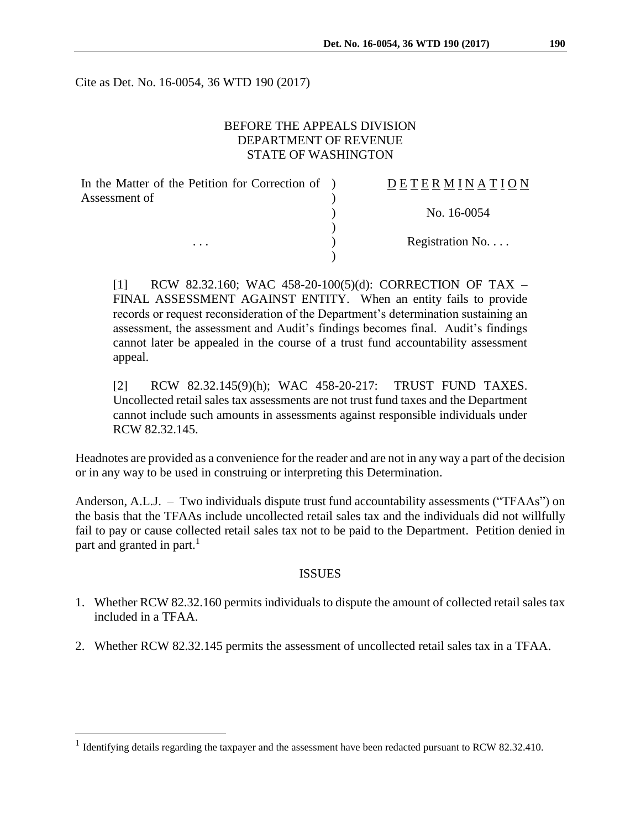Cite as Det. No. 16-0054, 36 WTD 190 (2017)

# BEFORE THE APPEALS DIVISION DEPARTMENT OF REVENUE STATE OF WASHINGTON

| In the Matter of the Petition for Correction of ) | DETERMINATION   |
|---------------------------------------------------|-----------------|
| Assessment of                                     |                 |
|                                                   | No. 16-0054     |
|                                                   |                 |
| $\cdots$                                          | Registration No |
|                                                   |                 |

[1] RCW 82.32.160; WAC 458-20-100(5)(d): CORRECTION OF TAX – FINAL ASSESSMENT AGAINST ENTITY. When an entity fails to provide records or request reconsideration of the Department's determination sustaining an assessment, the assessment and Audit's findings becomes final. Audit's findings cannot later be appealed in the course of a trust fund accountability assessment appeal.

[2] RCW 82.32.145(9)(h); WAC 458-20-217: TRUST FUND TAXES. Uncollected retail sales tax assessments are not trust fund taxes and the Department cannot include such amounts in assessments against responsible individuals under RCW 82.32.145.

Headnotes are provided as a convenience for the reader and are not in any way a part of the decision or in any way to be used in construing or interpreting this Determination.

Anderson, A.L.J. – Two individuals dispute trust fund accountability assessments ("TFAAs") on the basis that the TFAAs include uncollected retail sales tax and the individuals did not willfully fail to pay or cause collected retail sales tax not to be paid to the Department. Petition denied in part and granted in part.<sup>1</sup>

#### ISSUES

- 1. Whether RCW 82.32.160 permits individuals to dispute the amount of collected retail sales tax included in a TFAA.
- 2. Whether RCW 82.32.145 permits the assessment of uncollected retail sales tax in a TFAA.

 $\overline{a}$ 

<sup>&</sup>lt;sup>1</sup> Identifying details regarding the taxpayer and the assessment have been redacted pursuant to RCW 82.32.410.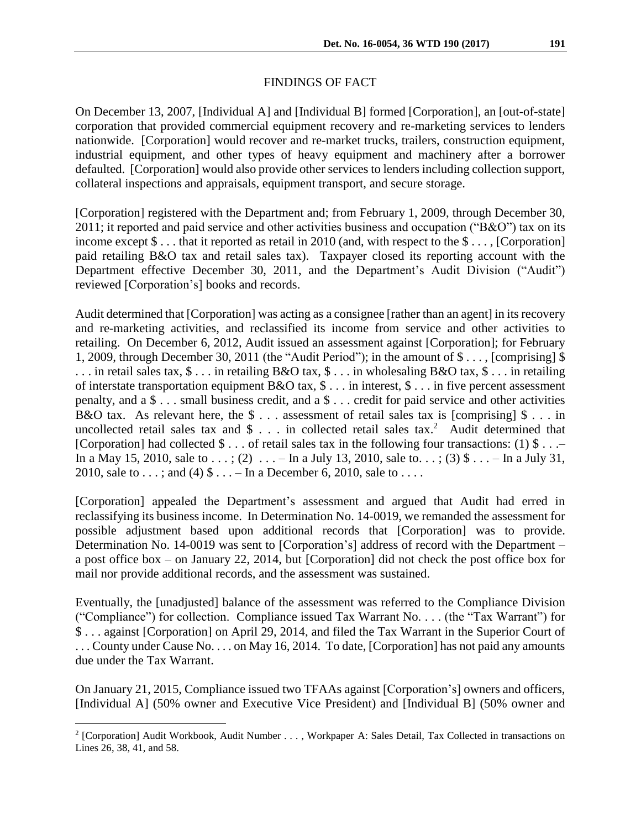### FINDINGS OF FACT

On December 13, 2007, [Individual A] and [Individual B] formed [Corporation], an [out-of-state] corporation that provided commercial equipment recovery and re-marketing services to lenders nationwide. [Corporation] would recover and re-market trucks, trailers, construction equipment, industrial equipment, and other types of heavy equipment and machinery after a borrower defaulted. [Corporation] would also provide other services to lenders including collection support, collateral inspections and appraisals, equipment transport, and secure storage.

[Corporation] registered with the Department and; from February 1, 2009, through December 30, 2011; it reported and paid service and other activities business and occupation ("B&O") tax on its income except \$ . . . that it reported as retail in 2010 (and, with respect to the \$ . . . , [Corporation] paid retailing B&O tax and retail sales tax). Taxpayer closed its reporting account with the Department effective December 30, 2011, and the Department's Audit Division ("Audit") reviewed [Corporation's] books and records.

Audit determined that [Corporation] was acting as a consignee [rather than an agent] in its recovery and re-marketing activities, and reclassified its income from service and other activities to retailing. On December 6, 2012, Audit issued an assessment against [Corporation]; for February 1, 2009, through December 30, 2011 (the "Audit Period"); in the amount of \$ . . . , [comprising] \$  $\ldots$  in retail sales tax,  $\frac{1}{2}$ ... in retailing B&O tax,  $\frac{1}{2}$ ... in wholesaling B&O tax,  $\frac{1}{2}$ ... in retailing of interstate transportation equipment B&O tax, \$ . . . in interest, \$ . . . in five percent assessment penalty, and a \$ . . . small business credit, and a \$ . . . credit for paid service and other activities B&O tax. As relevant here, the  $\$ \dots$  assessment of retail sales tax is [comprising]  $\$ \dots$  in uncollected retail sales tax and  $\frac{1}{2}$ ... in collected retail sales tax.<sup>2</sup> Audit determined that [Corporation] had collected  $\$\dots$  of retail sales tax in the following four transactions: (1)  $\$\dots$  – In a May 15, 2010, sale to  $\dots$ ; (2)  $\dots$  – In a July 13, 2010, sale to  $\dots$ ; (3)  $\text{\$...}$  – In a July 31, 2010, sale to  $\dots$ ; and (4)  $\text{\$} \dots$  – In a December 6, 2010, sale to  $\dots$ .

[Corporation] appealed the Department's assessment and argued that Audit had erred in reclassifying its business income. In Determination No. 14-0019, we remanded the assessment for possible adjustment based upon additional records that [Corporation] was to provide. Determination No. 14-0019 was sent to [Corporation's] address of record with the Department – a post office box – on January 22, 2014, but [Corporation] did not check the post office box for mail nor provide additional records, and the assessment was sustained.

Eventually, the [unadjusted] balance of the assessment was referred to the Compliance Division ("Compliance") for collection. Compliance issued Tax Warrant No. . . . (the "Tax Warrant") for \$ . . . against [Corporation] on April 29, 2014, and filed the Tax Warrant in the Superior Court of ... County under Cause No... . on May 16, 2014. To date, [Corporation] has not paid any amounts due under the Tax Warrant.

On January 21, 2015, Compliance issued two TFAAs against [Corporation's] owners and officers, [Individual A] (50% owner and Executive Vice President) and [Individual B] (50% owner and

 $\overline{a}$ 

<sup>&</sup>lt;sup>2</sup> [Corporation] Audit Workbook, Audit Number . . . , Workpaper A: Sales Detail, Tax Collected in transactions on Lines 26, 38, 41, and 58.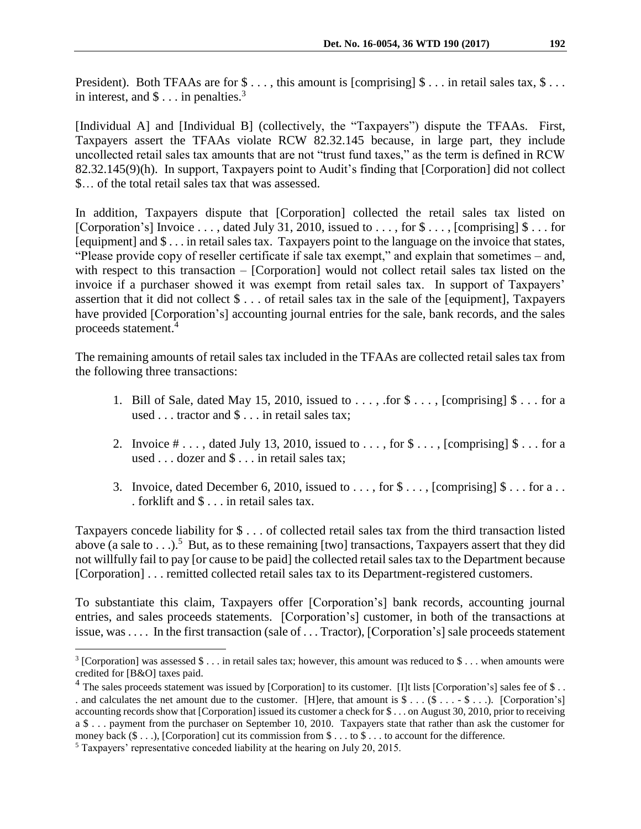President). Both TFAAs are for  $\$\ldots\$ , this amount is [comprising]  $\$\ldots\$  in retail sales tax,  $\$\ldots\$ in interest, and  $\$\dots$  in penalties.<sup>3</sup>

[Individual A] and [Individual B] (collectively, the "Taxpayers") dispute the TFAAs. First, Taxpayers assert the TFAAs violate RCW 82.32.145 because, in large part, they include uncollected retail sales tax amounts that are not "trust fund taxes," as the term is defined in RCW 82.32.145(9)(h). In support, Taxpayers point to Audit's finding that [Corporation] did not collect \$… of the total retail sales tax that was assessed.

In addition, Taxpayers dispute that [Corporation] collected the retail sales tax listed on [Corporation's] Invoice . . . , dated July 31, 2010, issued to . . . , for  $\$\dots$  [comprising]  $\$\dots$  for [equipment] and \$ . . . in retail sales tax. Taxpayers point to the language on the invoice that states, "Please provide copy of reseller certificate if sale tax exempt," and explain that sometimes – and, with respect to this transaction – [Corporation] would not collect retail sales tax listed on the invoice if a purchaser showed it was exempt from retail sales tax. In support of Taxpayers' assertion that it did not collect \$ . . . of retail sales tax in the sale of the [equipment], Taxpayers have provided [Corporation's] accounting journal entries for the sale, bank records, and the sales proceeds statement. 4

The remaining amounts of retail sales tax included in the TFAAs are collected retail sales tax from the following three transactions:

- 1. Bill of Sale, dated May 15, 2010, issued to  $\dots$ , for  $\frac{1}{2}$  ..., [comprising]  $\frac{1}{2}$ ... for a used . . . tractor and \$ . . . in retail sales tax;
- 2. Invoice  $\# \ldots$ , dated July 13, 2010, issued to  $\ldots$ , for  $\$\ldots$ , [comprising]  $\$\ldots$  for a used . . . dozer and \$ . . . in retail sales tax;
- 3. Invoice, dated December 6, 2010, issued to  $\dots$ , for  $\$\dots$ , [comprising]  $\$\dots$  for a... . forklift and \$ . . . in retail sales tax.

Taxpayers concede liability for \$ . . . of collected retail sales tax from the third transaction listed above (a sale to . . .).<sup>5</sup> But, as to these remaining [two] transactions, Taxpayers assert that they did not willfully fail to pay [or cause to be paid] the collected retail sales tax to the Department because [Corporation] . . . remitted collected retail sales tax to its Department-registered customers.

To substantiate this claim, Taxpayers offer [Corporation's] bank records, accounting journal entries, and sales proceeds statements. [Corporation's] customer, in both of the transactions at issue, was . . . . In the first transaction (sale of . . . Tractor), [Corporation's] sale proceeds statement

 $\overline{a}$ 

<sup>&</sup>lt;sup>3</sup> [Corporation] was assessed  $\frac{1}{2}$ ... in retail sales tax; however, this amount was reduced to  $\frac{1}{2}$ ... when amounts were credited for [B&O] taxes paid.

<sup>&</sup>lt;sup>4</sup> The sales proceeds statement was issued by [Corporation] to its customer. [I]t lists [Corporation's] sales fee of \$... . and calculates the net amount due to the customer. [H]ere, that amount is  $\$\dots(\$ \dots \$ \dots)$ . [Corporation's] accounting records show that [Corporation] issued its customer a check for \$ . . . on August 30, 2010, prior to receiving a \$ . . . payment from the purchaser on September 10, 2010. Taxpayers state that rather than ask the customer for money back  $(\$ \dots)$ , [Corporation] cut its commission from  $\$ \dots$  to  $\$ \dots$  to account for the difference.

<sup>5</sup> Taxpayers' representative conceded liability at the hearing on July 20, 2015.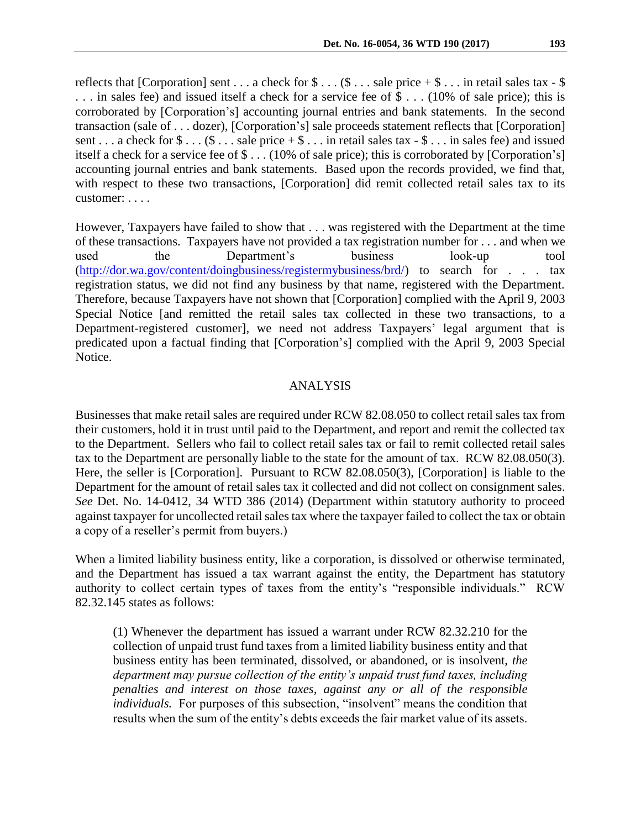reflects that [Corporation] sent . . . a check for  $\$\dots(\$ \dots$  sale price  $+\$ \dots$  in retail sales tax -  $\$$ . . . in sales fee) and issued itself a check for a service fee of \$ . . . (10% of sale price); this is corroborated by [Corporation's] accounting journal entries and bank statements. In the second transaction (sale of . . . dozer), [Corporation's] sale proceeds statement reflects that [Corporation] sent . . . a check for  $\text{\$} \ldots \text{\$} \ldots$  sale price  $+\text{\$} \ldots$  in retail sales tax -  $\text{\$} \ldots$  in sales fee) and issued itself a check for a service fee of \$ . . . (10% of sale price); this is corroborated by [Corporation's] accounting journal entries and bank statements. Based upon the records provided, we find that, with respect to these two transactions, [Corporation] did remit collected retail sales tax to its customer: . . . .

However, Taxpayers have failed to show that . . . was registered with the Department at the time of these transactions. Taxpayers have not provided a tax registration number for . . . and when we used the Department's business look-up tool [\(http://dor.wa.gov/content/doingbusiness/registermybusiness/brd/\)](http://dor.wa.gov/content/doingbusiness/registermybusiness/brd/) to search for . . . tax registration status, we did not find any business by that name, registered with the Department. Therefore, because Taxpayers have not shown that [Corporation] complied with the April 9, 2003 Special Notice [and remitted the retail sales tax collected in these two transactions, to a Department-registered customer], we need not address Taxpayers' legal argument that is predicated upon a factual finding that [Corporation's] complied with the April 9, 2003 Special Notice.

## ANALYSIS

Businesses that make retail sales are required under RCW 82.08.050 to collect retail sales tax from their customers, hold it in trust until paid to the Department, and report and remit the collected tax to the Department. Sellers who fail to collect retail sales tax or fail to remit collected retail sales tax to the Department are personally liable to the state for the amount of tax. RCW 82.08.050(3). Here, the seller is [Corporation]. Pursuant to RCW 82.08.050(3), [Corporation] is liable to the Department for the amount of retail sales tax it collected and did not collect on consignment sales. *See* Det. No. 14-0412, 34 WTD 386 (2014) (Department within statutory authority to proceed against taxpayer for uncollected retail sales tax where the taxpayer failed to collect the tax or obtain a copy of a reseller's permit from buyers.)

When a limited liability business entity, like a corporation, is dissolved or otherwise terminated, and the Department has issued a tax warrant against the entity, the Department has statutory authority to collect certain types of taxes from the entity's "responsible individuals." RCW 82.32.145 states as follows:

(1) Whenever the department has issued a warrant under RCW 82.32.210 for the collection of unpaid trust fund taxes from a limited liability business entity and that business entity has been terminated, dissolved, or abandoned, or is insolvent, *the department may pursue collection of the entity's unpaid trust fund taxes, including penalties and interest on those taxes, against any or all of the responsible individuals.* For purposes of this subsection, "insolvent" means the condition that results when the sum of the entity's debts exceeds the fair market value of its assets.